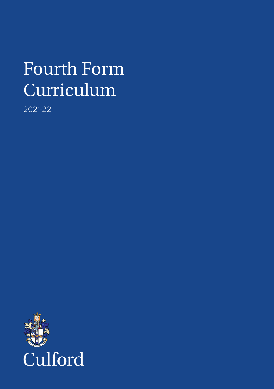# Fourth Form Curriculum

2021-22

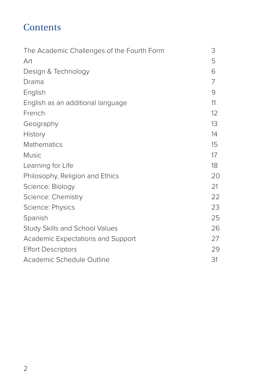### **Contents**

| The Academic Challenges of the Fourth Form | 3  |
|--------------------------------------------|----|
| Art                                        | 5  |
| Design & Technology                        | 6  |
| Drama                                      | 7  |
| English                                    | 9  |
| English as an additional language          | 11 |
| French                                     | 12 |
| Geography                                  | 13 |
| History                                    | 14 |
| Mathematics                                | 15 |
| <b>Music</b>                               | 17 |
| Learning for Life                          | 18 |
| Philosophy, Religion and Ethics            | 20 |
| Science: Biology                           | 21 |
| Science: Chemistry                         | 22 |
| Science: Physics                           | 23 |
| Spanish                                    | 25 |
| <b>Study Skills and School Values</b>      | 26 |
| Academic Expectations and Support          | 27 |
| <b>Effort Descriptors</b>                  | 29 |
| Academic Schedule Outline                  | 31 |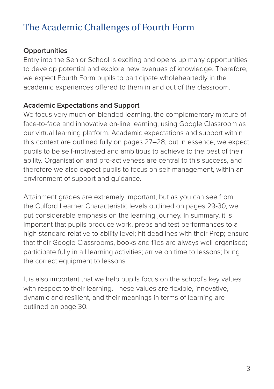# The Academic Challenges of Fourth Form

#### **Opportunities**

Entry into the Senior School is exciting and opens up many opportunities to develop potential and explore new avenues of knowledge. Therefore, we expect Fourth Form pupils to participate wholeheartedly in the academic experiences offered to them in and out of the classroom.

#### **Academic Expectations and Support**

We focus very much on blended learning, the complementary mixture of face-to-face and innovative on-line learning, using Google Classroom as our virtual learning platform. Academic expectations and support within this context are outlined fully on pages 27–28, but in essence, we expect pupils to be self-motivated and ambitious to achieve to the best of their ability. Organisation and pro-activeness are central to this success, and therefore we also expect pupils to focus on self-management, within an environment of support and guidance.

Attainment grades are extremely important, but as you can see from the Culford Learner Characteristic levels outlined on pages 29-30, we put considerable emphasis on the learning journey. In summary, it is important that pupils produce work, preps and test performances to a high standard relative to ability level; hit deadlines with their Prep; ensure that their Google Classrooms, books and files are always well organised; participate fully in all learning activities; arrive on time to lessons; bring the correct equipment to lessons.

It is also important that we help pupils focus on the school's key values with respect to their learning. These values are flexible, innovative, dynamic and resilient, and their meanings in terms of learning are outlined on page 30.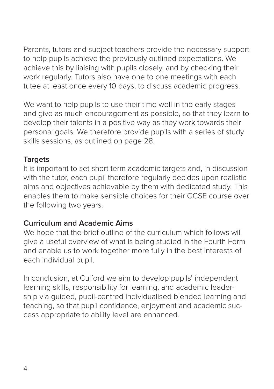Parents, tutors and subject teachers provide the necessary support to help pupils achieve the previously outlined expectations. We achieve this by liaising with pupils closely, and by checking their work regularly. Tutors also have one to one meetings with each tutee at least once every 10 days, to discuss academic progress.

We want to help pupils to use their time well in the early stages and give as much encouragement as possible, so that they learn to develop their talents in a positive way as they work towards their personal goals. We therefore provide pupils with a series of study skills sessions, as outlined on page 28.

### **Targets**

It is important to set short term academic targets and, in discussion with the tutor, each pupil therefore regularly decides upon realistic aims and objectives achievable by them with dedicated study. This enables them to make sensible choices for their GCSE course over the following two years.

#### **Curriculum and Academic Aims**

We hope that the brief outline of the curriculum which follows will give a useful overview of what is being studied in the Fourth Form and enable us to work together more fully in the best interests of each individual pupil.

In conclusion, at Culford we aim to develop pupils' independent learning skills, responsibility for learning, and academic leadership via guided, pupil-centred individualised blended learning and teaching, so that pupil confidence, enjoyment and academic success appropriate to ability level are enhanced.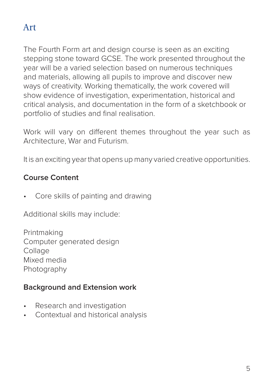# Art

The Fourth Form art and design course is seen as an exciting stepping stone toward GCSE. The work presented throughout the year will be a varied selection based on numerous techniques and materials, allowing all pupils to improve and discover new ways of creativity. Working thematically, the work covered will show evidence of investigation, experimentation, historical and critical analysis, and documentation in the form of a sketchbook or portfolio of studies and final realisation.

Work will vary on different themes throughout the year such as Architecture, War and Futurism.

It is an exciting year that opens up many varied creative opportunities.

### **Course Content**

Core skills of painting and drawing

Additional skills may include:

Printmaking Computer generated design **Collage** Mixed media **Photography** 

### **Background and Extension work**

- Research and investigation
- Contextual and historical analysis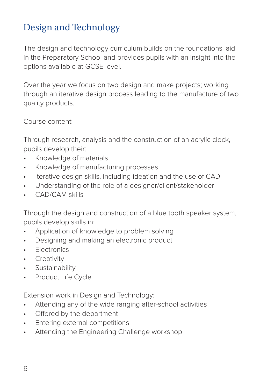# Design and Technology

The design and technology curriculum builds on the foundations laid in the Preparatory School and provides pupils with an insight into the options available at GCSE level.

Over the year we focus on two design and make projects; working through an iterative design process leading to the manufacture of two quality products.

Course content:

Through research, analysis and the construction of an acrylic clock, pupils develop their:

- Knowledge of materials
- Knowledge of manufacturing processes
- Iterative design skills, including ideation and the use of CAD
- Understanding of the role of a designer/client/stakeholder
- CAD/CAM skills

Through the design and construction of a blue tooth speaker system, pupils develop skills in:

- Application of knowledge to problem solving
- Designing and making an electronic product
- **Electronics**
- **Creativity**
- Sustainability
- Product Life Cycle

Extension work in Design and Technology:

- Attending any of the wide ranging after-school activities
- Offered by the department
- Entering external competitions
- Attending the Engineering Challenge workshop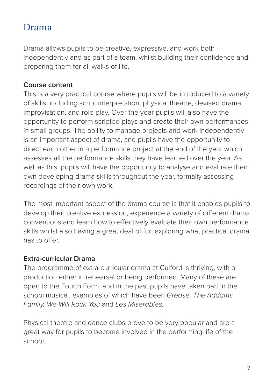### Drama

Drama allows pupils to be creative, expressive, and work both independently and as part of a team, whilst building their confidence and preparing them for all walks of life.

#### **Course content**

This is a very practical course where pupils will be introduced to a variety of skills, including script interpretation, physical theatre, devised drama, improvisation, and role play. Over the year pupils will also have the opportunity to perform scripted plays and create their own performances in small groups. The ability to manage projects and work independently is an important aspect of drama, and pupils have the opportunity to direct each other in a performance project at the end of the year which assesses all the performance skills they have learned over the year. As well as this, pupils will have the opportunity to analyse and evaluate their own developing drama skills throughout the year, formally assessing recordings of their own work.

The most important aspect of the drama course is that it enables pupils to develop their creative expression, experience a variety of different drama conventions and learn how to effectively evaluate their own performance skills whilst also having a great deal of fun exploring what practical drama has to offer.

#### **Extra-curricular Drama**

The programme of extra-curricular drama at Culford is thriving, with a production either in rehearsal or being performed. Many of these are open to the Fourth Form, and in the past pupils have taken part in the school musical, examples of which have been *Grease, The Addams Family, We Will Rock You* and *Les Miserables.*

Physical theatre and dance clubs prove to be very popular and are a great way for pupils to become involved in the performing life of the school.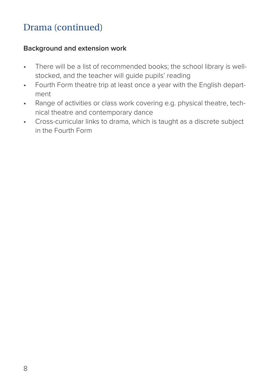# Drama (continued)

#### **Background and extension work**

- There will be a list of recommended books; the school library is wellstocked, and the teacher will guide pupils' reading
- Fourth Form theatre trip at least once a year with the English department
- Range of activities or class work covering e.g. physical theatre, technical theatre and contemporary dance
- Cross-curricular links to drama, which is taught as a discrete subject in the Fourth Form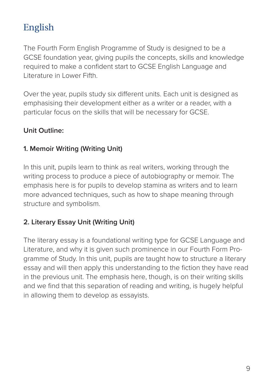# English

The Fourth Form English Programme of Study is designed to be a GCSE foundation year, giving pupils the concepts, skills and knowledge required to make a confident start to GCSE English Language and Literature in Lower Fifth.

Over the year, pupils study six different units. Each unit is designed as emphasising their development either as a writer or a reader, with a particular focus on the skills that will be necessary for GCSE.

#### **Unit Outline:**

#### **1. Memoir Writing (Writing Unit)**

In this unit, pupils learn to think as real writers, working through the writing process to produce a piece of autobiography or memoir. The emphasis here is for pupils to develop stamina as writers and to learn more advanced techniques, such as how to shape meaning through structure and symbolism.

#### **2. Literary Essay Unit (Writing Unit)**

The literary essay is a foundational writing type for GCSE Language and Literature, and why it is given such prominence in our Fourth Form Programme of Study. In this unit, pupils are taught how to structure a literary essay and will then apply this understanding to the fiction they have read in the previous unit. The emphasis here, though, is on their writing skills and we find that this separation of reading and writing, is hugely helpful in allowing them to develop as essayists.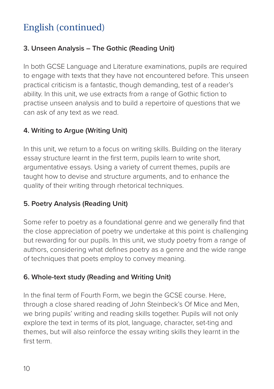# English (continued)

### **3. Unseen Analysis – The Gothic (Reading Unit)**

In both GCSE Language and Literature examinations, pupils are required to engage with texts that they have not encountered before. This unseen practical criticism is a fantastic, though demanding, test of a reader's ability. In this unit, we use extracts from a range of Gothic fiction to practise unseen analysis and to build a repertoire of questions that we can ask of any text as we read.

### **4. Writing to Argue (Writing Unit)**

In this unit, we return to a focus on writing skills. Building on the literary essay structure learnt in the first term, pupils learn to write short, argumentative essays. Using a variety of current themes, pupils are taught how to devise and structure arguments, and to enhance the quality of their writing through rhetorical techniques.

#### **5. Poetry Analysis (Reading Unit)**

Some refer to poetry as a foundational genre and we generally find that the close appreciation of poetry we undertake at this point is challenging but rewarding for our pupils. In this unit, we study poetry from a range of authors, considering what defines poetry as a genre and the wide range of techniques that poets employ to convey meaning.

#### **6. Whole-text study (Reading and Writing Unit)**

In the final term of Fourth Form, we begin the GCSE course. Here, through a close shared reading of John Steinbeck's Of Mice and Men, we bring pupils' writing and reading skills together. Pupils will not only explore the text in terms of its plot, language, character, set-ting and themes, but will also reinforce the essay writing skills they learnt in the first term.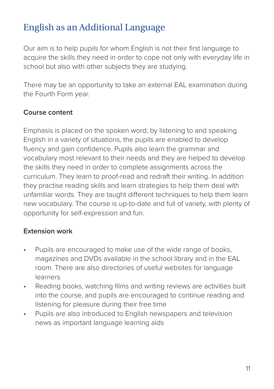# English as an Additional Language

Our aim is to help pupils for whom English is not their first language to acquire the skills they need in order to cope not only with everyday life in school but also with other subjects they are studying.

There may be an opportunity to take an external EAL examination during the Fourth Form year.

#### **Course content**

Emphasis is placed on the spoken word; by listening to and speaking English in a variety of situations, the pupils are enabled to develop fluency and gain confidence. Pupils also learn the grammar and vocabulary most relevant to their needs and they are helped to develop the skills they need in order to complete assignments across the curriculum. They learn to proof-read and redraft their writing. In addition they practise reading skills and learn strategies to help them deal with unfamiliar words. They are taught different techniques to help them learn new vocabulary. The course is up-to-date and full of variety, with plenty of opportunity for self-expression and fun.

#### **Extension work**

- Pupils are encouraged to make use of the wide range of books, magazines and DVDs available in the school library and in the EAL room. There are also directories of useful websites for language learners
- Reading books, watching films and writing reviews are activities built into the course, and pupils are encouraged to continue reading and listening for pleasure during their free time
- Pupils are also introduced to English newspapers and television news as important language learning aids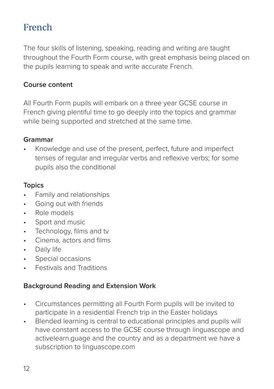# French

The four skills of listening, speaking, reading and writing are taught throughout the Fourth Form course, with great emphasis being placed on the pupils learning to speak and write accurate French.

#### **Course content**

All Fourth Form pupils will embark on a three year GCSE course in French giving plentiful time to go deeply into the topics and grammar while being supported and stretched at the same time.

#### **Grammar**

• Knowledge and use of the present, perfect, future and imperfect tenses of regular and irregular verbs and reflexive verbs; for some pupils also the conditional

#### **Topics**

- Family and relationships
- Going out with friends
- Role models
- Sport and music
- Technology, films and tv
- Cinema, actors and films
- Daily life
- Special occasions
- Festivals and Traditions

#### **Background Reading and Extension Work**

- Circumstances permitting all Fourth Form pupils will be invited to participate in a residential French trip in the Easter holidays
- Blended learning is central to educational principles and pupils will have constant access to the GCSE course through linguascope and activelearn.guage and the country and as a department we have a subscription to linguascope.com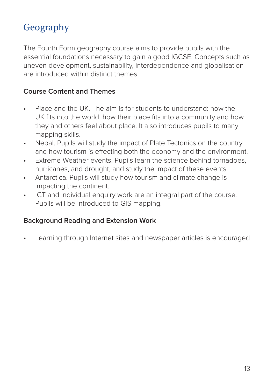# Geography

The Fourth Form geography course aims to provide pupils with the essential foundations necessary to gain a good IGCSE. Concepts such as uneven development, sustainability, interdependence and globalisation are introduced within distinct themes.

#### **Course Content and Themes**

- Place and the UK. The aim is for students to understand: how the UK fits into the world, how their place fits into a community and how they and others feel about place. It also introduces pupils to many mapping skills.
- Nepal. Pupils will study the impact of Plate Tectonics on the country and how tourism is effecting both the economy and the environment.
- Extreme Weather events. Pupils learn the science behind tornadoes, hurricanes, and drought, and study the impact of these events.
- Antarctica. Pupils will study how tourism and climate change is impacting the continent.
- ICT and individual enquiry work are an integral part of the course. Pupils will be introduced to GIS mapping.

#### **Background Reading and Extension Work**

• Learning through Internet sites and newspaper articles is encouraged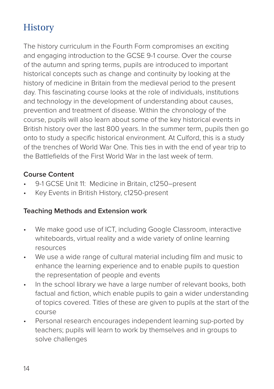# **History**

The history curriculum in the Fourth Form compromises an exciting and engaging introduction to the GCSE 9-1 course. Over the course of the autumn and spring terms, pupils are introduced to important historical concepts such as change and continuity by looking at the history of medicine in Britain from the medieval period to the present day. This fascinating course looks at the role of individuals, institutions and technology in the development of understanding about causes, prevention and treatment of disease. Within the chronology of the course, pupils will also learn about some of the key historical events in British history over the last 800 years. In the summer term, pupils then go onto to study a specific historical environment. At Culford, this is a study of the trenches of World War One. This ties in with the end of year trip to the Battlefields of the First World War in the last week of term.

#### **Course Content**

- 9-1 GCSE Unit 11: Medicine in Britain, c1250–present
- Key Events in British History, c1250-present

#### **Teaching Methods and Extension work**

- We make good use of ICT, including Google Classroom, interactive whiteboards, virtual reality and a wide variety of online learning resources
- We use a wide range of cultural material including film and music to enhance the learning experience and to enable pupils to question the representation of people and events
- In the school library we have a large number of relevant books, both factual and fiction, which enable pupils to gain a wider understanding of topics covered. Titles of these are given to pupils at the start of the course
- Personal research encourages independent learning sup-ported by teachers; pupils will learn to work by themselves and in groups to solve challenges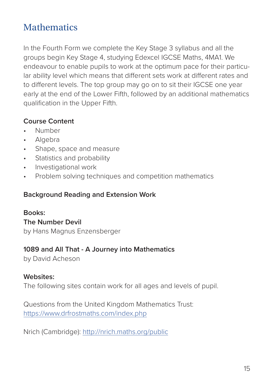### **Mathematics**

In the Fourth Form we complete the Key Stage 3 syllabus and all the groups begin Key Stage 4, studying Edexcel IGCSE Maths, 4MA1. We endeavour to enable pupils to work at the optimum pace for their particular ability level which means that different sets work at different rates and to different levels. The top group may go on to sit their IGCSE one year early at the end of the Lower Fifth, followed by an additional mathematics qualification in the Upper Fifth.

#### **Course Content**

- Number
- Algebra
- Shape, space and measure
- Statistics and probability
- Investigational work
- Problem solving techniques and competition mathematics

#### **Background Reading and Extension Work**

#### **Books:**

**The Number Devil**  by Hans Magnus Enzensberger

#### **1089 and All That - A Journey into Mathematics**

by David Acheson

#### **Websites:**

The following sites contain work for all ages and levels of pupil.

Questions from the United Kingdom Mathematics Trust: https://www.drfrostmaths.com/index.php

Nrich (Cambridge): http://nrich.maths.org/public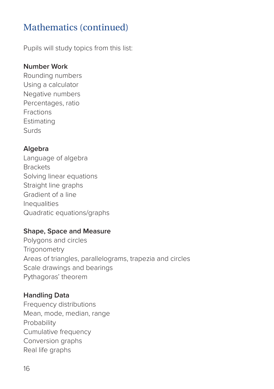# Mathematics (continued)

Pupils will study topics from this list:

#### **Number Work**

Rounding numbers Using a calculator Negative numbers Percentages, ratio Fractions Estimating Surds

#### **Algebra**

Language of algebra **Brackets** Solving linear equations Straight line graphs Gradient of a line **Inequalities** Quadratic equations/graphs

#### **Shape, Space and Measure**

Polygons and circles **Trigonometry** Areas of triangles, parallelograms, trapezia and circles Scale drawings and bearings Pythagoras' theorem

#### **Handling Data**

Frequency distributions Mean, mode, median, range Probability Cumulative frequency Conversion graphs Real life graphs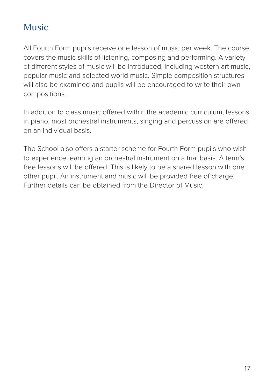### Music

All Fourth Form pupils receive one lesson of music per week. The course covers the music skills of listening, composing and performing. A variety of different styles of music will be introduced, including western art music, popular music and selected world music. Simple composition structures will also be examined and pupils will be encouraged to write their own compositions.

In addition to class music offered within the academic curriculum, lessons in piano, most orchestral instruments, singing and percussion are offered on an individual basis.

The School also offers a starter scheme for Fourth Form pupils who wish to experience learning an orchestral instrument on a trial basis. A term's free lessons will be offered. This is likely to be a shared lesson with one other pupil. An instrument and music will be provided free of charge. Further details can be obtained from the Director of Music.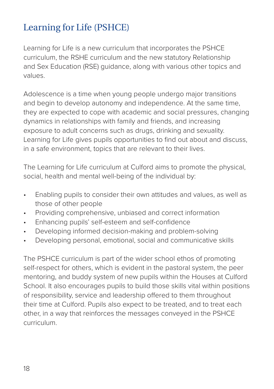# Learning for Life (PSHCE)

Learning for Life is a new curriculum that incorporates the PSHCE curriculum, the RSHE curriculum and the new statutory Relationship and Sex Education (RSE) guidance, along with various other topics and values.

Adolescence is a time when young people undergo major transitions and begin to develop autonomy and independence. At the same time, they are expected to cope with academic and social pressures, changing dynamics in relationships with family and friends, and increasing exposure to adult concerns such as drugs, drinking and sexuality. Learning for Life gives pupils opportunities to find out about and discuss, in a safe environment, topics that are relevant to their lives.

The Learning for Life curriculum at Culford aims to promote the physical, social, health and mental well-being of the individual by:

- Enabling pupils to consider their own attitudes and values, as well as those of other people
- Providing comprehensive, unbiased and correct information
- Enhancing pupils' self-esteem and self-confidence
- Developing informed decision-making and problem-solving
- Developing personal, emotional, social and communicative skills

The PSHCE curriculum is part of the wider school ethos of promoting self-respect for others, which is evident in the pastoral system, the peer mentoring, and buddy system of new pupils within the Houses at Culford School. It also encourages pupils to build those skills vital within positions of responsibility, service and leadership offered to them throughout their time at Culford. Pupils also expect to be treated, and to treat each other, in a way that reinforces the messages conveyed in the PSHCE curriculum.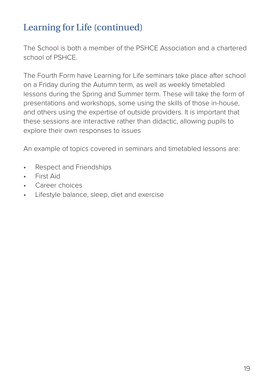# Learning for Life (continued)

The School is both a member of the PSHCE Association and a chartered school of PSHCE.

The Fourth Form have Learning for Life seminars take place after school on a Friday during the Autumn term, as well as weekly timetabled lessons during the Spring and Summer term. These will take the form of presentations and workshops, some using the skills of those in-house, and others using the expertise of outside providers. It is important that these sessions are interactive rather than didactic, allowing pupils to explore their own responses to issues

An example of topics covered in seminars and timetabled lessons are:

- Respect and Friendships
- First Aid
- Career choices
- Lifestyle balance, sleep, diet and exercise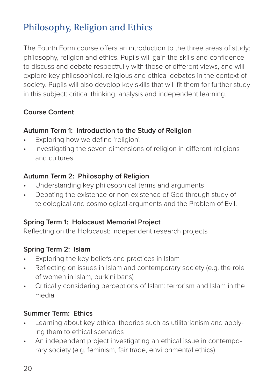# Philosophy, Religion and Ethics

The Fourth Form course offers an introduction to the three areas of study: philosophy, religion and ethics. Pupils will gain the skills and confidence to discuss and debate respectfully with those of different views, and will explore key philosophical, religious and ethical debates in the context of society. Pupils will also develop key skills that will fit them for further study in this subject: critical thinking, analysis and independent learning.

### **Course Content**

#### **Autumn Term 1: Introduction to the Study of Religion**

- Exploring how we define 'religion'.
- Investigating the seven dimensions of religion in different religions and cultures.

#### **Autumn Term 2: Philosophy of Religion**

- Understanding key philosophical terms and arguments
- Debating the existence or non-existence of God through study of teleological and cosmological arguments and the Problem of Evil.

#### **Spring Term 1: Holocaust Memorial Project**

Reflecting on the Holocaust: independent research projects

#### **Spring Term 2: Islam**

- Exploring the key beliefs and practices in Islam
- Reflecting on issues in Islam and contemporary society (e.g. the role of women in Islam, burkini bans)
- Critically considering perceptions of Islam: terrorism and Islam in the media

#### **Summer Term: Ethics**

- Learning about key ethical theories such as utilitarianism and applying them to ethical scenarios
- An independent project investigating an ethical issue in contemporary society (e.g. feminism, fair trade, environmental ethics)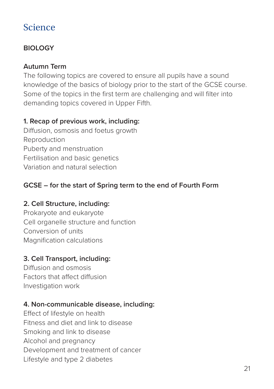### **BIOLOGY**

#### **Autumn Term**

The following topics are covered to ensure all pupils have a sound knowledge of the basics of biology prior to the start of the GCSE course. Some of the topics in the first term are challenging and will filter into demanding topics covered in Upper Fifth.

#### **1. Recap of previous work, including:**

Diffusion, osmosis and foetus growth Reproduction Puberty and menstruation Fertilisation and basic genetics Variation and natural selection

### **GCSE – for the start of Spring term to the end of Fourth Form**

#### **2. Cell Structure, including:**

Prokaryote and eukaryote Cell organelle structure and function Conversion of units Magnification calculations

#### **3. Cell Transport, including:**

Diffusion and osmosis Factors that affect diffusion Investigation work

#### **4. Non-communicable disease, including:**

Effect of lifestyle on health Fitness and diet and link to disease Smoking and link to disease Alcohol and pregnancy Development and treatment of cancer Lifestyle and type 2 diabetes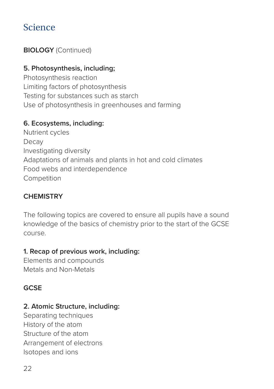### **BIOLOGY** (Continued)

#### **5. Photosynthesis, including;**

Photosynthesis reaction Limiting factors of photosynthesis Testing for substances such as starch Use of photosynthesis in greenhouses and farming

#### **6. Ecosystems, including:**

Nutrient cycles Decay Investigating diversity Adaptations of animals and plants in hot and cold climates Food webs and interdependence Competition

### **CHEMISTRY**

The following topics are covered to ensure all pupils have a sound knowledge of the basics of chemistry prior to the start of the GCSE course.

#### **1. Recap of previous work, including:**

Elements and compounds Metals and Non-Metals

#### **GCSE**

#### **2. Atomic Structure, including:**

Separating techniques History of the atom Structure of the atom Arrangement of electrons Isotopes and ions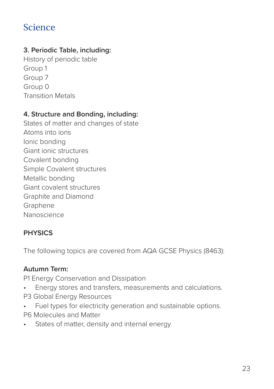### **3. Periodic Table, including:**

History of periodic table Group 1 Group 7 Group 0 Transition Metals

#### **4. Structure and Bonding, including:**

States of matter and changes of state Atoms into ions Ionic bonding Giant ionic structures Covalent bonding Simple Covalent structures Metallic bonding Giant covalent structures Graphite and Diamond Graphene Nanoscience

### **PHYSICS**

The following topics are covered from AQA GCSE Physics (8463):

#### **Autumn Term:**

P1 Energy Conservation and Dissipation

- Energy stores and transfers, measurements and calculations. P3 Global Energy Resources
- Fuel types for electricity generation and sustainable options.
- P6 Molecules and Matter
- States of matter, density and internal energy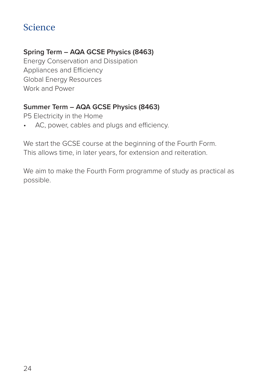#### **Spring Term – AQA GCSE Physics (8463)**

Energy Conservation and Dissipation Appliances and Efficiency Global Energy Resources Work and Power

#### **Summer Term – AQA GCSE Physics (8463)**

P5 Electricity in the Home

• AC, power, cables and plugs and efficiency.

We start the GCSE course at the beginning of the Fourth Form. This allows time, in later years, for extension and reiteration.

We aim to make the Fourth Form programme of study as practical as possible.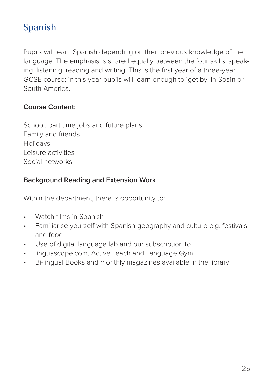# Spanish

Pupils will learn Spanish depending on their previous knowledge of the language. The emphasis is shared equally between the four skills; speaking, listening, reading and writing. This is the first year of a three-year GCSE course; in this year pupils will learn enough to 'get by' in Spain or South America.

#### **Course Content:**

School, part time jobs and future plans Family and friends Holidays Leisure activities Social networks

#### **Background Reading and Extension Work**

Within the department, there is opportunity to:

- Watch films in Spanish
- Familiarise yourself with Spanish geography and culture e.g. festivals and food
- Use of digital language lab and our subscription to
- linguascope.com, Active Teach and Language Gym.
- Bi-lingual Books and monthly magazines available in the library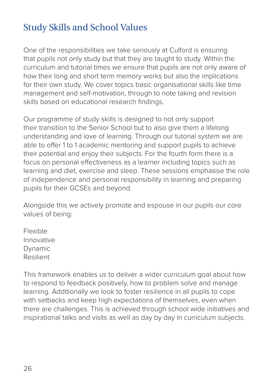# Study Skills and School Values

One of the responsibilities we take seriously at Culford is ensuring that pupils not only study but that they are taught to study. Within the curriculum and tutorial times we ensure that pupils are not only aware of how their long and short term memory works but also the implications for their own study. We cover topics basic organisational skills like time management and self-motivation, through to note taking and revision skills based on educational research findings.

Our programme of study skills is designed to not only support their transition to the Senior School but to also give them a lifelong understanding and love of learning. Through our tutorial system we are able to offer 1 to 1 academic mentoring and support pupils to achieve their potential and enjoy their subjects. For the fourth form there is a focus on personal effectiveness as a learner including topics such as learning and diet, exercise and sleep. These sessions emphasise the role of independence and personal responsibility in learning and preparing pupils for their GCSEs and beyond.

Alongside this we actively promote and espouse in our pupils our core values of being:

Flexible Innovative Dynamic Resilient

This framework enables us to deliver a wider curriculum goal about how to respond to feedback positively, how to problem solve and manage learning. Additionally we look to foster resilience in all pupils to cope with setbacks and keep high expectations of themselves, even when there are challenges. This is achieved through school wide initiatives and inspirational talks and visits as well as day by day in curriculum subjects.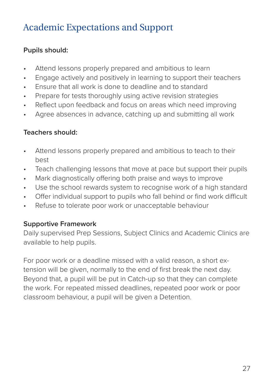# Academic Expectations and Support

#### **Pupils should:**

- Attend lessons properly prepared and ambitious to learn
- Engage actively and positively in learning to support their teachers
- Ensure that all work is done to deadline and to standard
- Prepare for tests thoroughly using active revision strategies
- Reflect upon feedback and focus on areas which need improving
- Agree absences in advance, catching up and submitting all work

#### **Teachers should:**

- Attend lessons properly prepared and ambitious to teach to their best
- Teach challenging lessons that move at pace but support their pupils
- Mark diagnostically offering both praise and ways to improve
- Use the school rewards system to recognise work of a high standard
- Offer individual support to pupils who fall behind or find work difficult
- Refuse to tolerate poor work or unacceptable behaviour

#### **Supportive Framework**

Daily supervised Prep Sessions, Subject Clinics and Academic Clinics are available to help pupils.

For poor work or a deadline missed with a valid reason, a short extension will be given, normally to the end of first break the next day. Beyond that, a pupil will be put in Catch-up so that they can complete the work. For repeated missed deadlines, repeated poor work or poor classroom behaviour, a pupil will be given a Detention.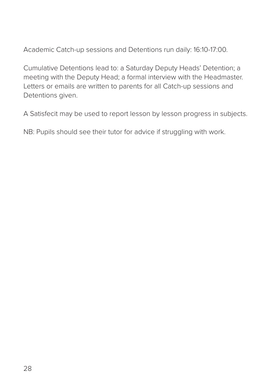Academic Catch-up sessions and Detentions run daily: 16:10-17:00.

Cumulative Detentions lead to: a Saturday Deputy Heads' Detention; a meeting with the Deputy Head; a formal interview with the Headmaster. Letters or emails are written to parents for all Catch-up sessions and Detentions given.

A Satisfecit may be used to report lesson by lesson progress in subjects.

NB: Pupils should see their tutor for advice if struggling with work.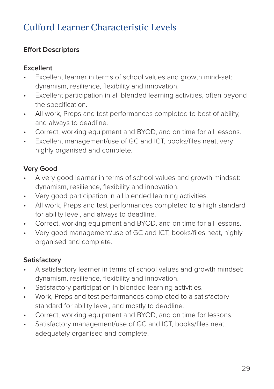# Culford Learner Characteristic Levels

### **Effort Descriptors**

#### **Excellent**

- Excellent learner in terms of school values and growth mind-set: dynamism, resilience, flexibility and innovation.
- Excellent participation in all blended learning activities, often beyond the specification.
- All work, Preps and test performances completed to best of ability, and always to deadline.
- Correct, working equipment and BYOD, and on time for all lessons.
- Excellent management/use of GC and ICT, books/files neat, very highly organised and complete.

### **Very Good**

- A very good learner in terms of school values and growth mindset: dynamism, resilience, flexibility and innovation.
- Very good participation in all blended learning activities.
- All work, Preps and test performances completed to a high standard for ability level, and always to deadline.
- Correct, working equipment and BYOD, and on time for all lessons.
- Very good management/use of GC and ICT, books/files neat, highly organised and complete.

### **Satisfactory**

- A satisfactory learner in terms of school values and growth mindset: dynamism, resilience, flexibility and innovation.
- Satisfactory participation in blended learning activities.
- Work, Preps and test performances completed to a satisfactory standard for ability level, and mostly to deadline.
- Correct, working equipment and BYOD, and on time for lessons.
- Satisfactory management/use of GC and ICT, books/files neat, adequately organised and complete.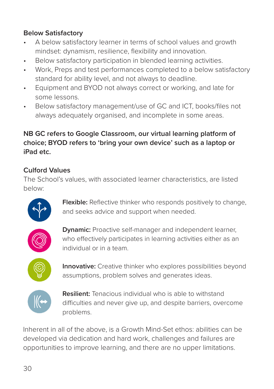### **Below Satisfactory**

- A below satisfactory learner in terms of school values and growth mindset: dynamism, resilience, flexibility and innovation.
- Below satisfactory participation in blended learning activities.
- Work, Preps and test performances completed to a below satisfactory standard for ability level, and not always to deadline.
- Equipment and BYOD not always correct or working, and late for some lessons.
- Below satisfactory management/use of GC and ICT, books/files not always adequately organised, and incomplete in some areas.

### **NB GC refers to Google Classroom, our virtual learning platform of choice; BYOD refers to 'bring your own device' such as a laptop or iPad etc.**

### **Culford Values**

The School's values, with associated learner characteristics, are listed below:



**Flexible:** Reflective thinker who responds positively to change, and seeks advice and support when needed.



**Dynamic:** Proactive self-manager and independent learner, who effectively participates in learning activities either as an individual or in a team.



**Innovative:** Creative thinker who explores possibilities beyond assumptions, problem solves and generates ideas.



**Resilient:** Tenacious individual who is able to withstand difficulties and never give up, and despite barriers, overcome problems.

Inherent in all of the above, is a Growth Mind-Set ethos: abilities can be developed via dedication and hard work, challenges and failures are opportunities to improve learning, and there are no upper limitations.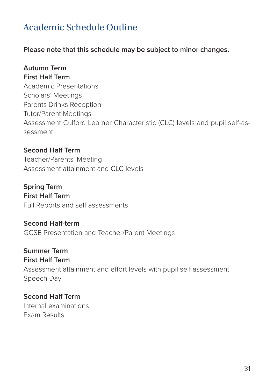# Academic Schedule Outline

**Please note that this schedule may be subject to minor changes.**

### **Autumn Term**

**First Half Term**  Academic Presentations Scholars' Meetings Parents Drinks Reception Tutor/Parent Meetings Assessment Culford Learner Characteristic (CLC) levels and pupil self-assessment

**Second Half Term**  Teacher/Parents' Meeting Assessment attainment and CLC levels

**Spring Term First Half Term**  Full Reports and self assessments

**Second Half-term**  GCSE Presentation and Teacher/Parent Meetings

**Summer Term First Half Term**  Assessment attainment and effort levels with pupil self assessment Speech Day

**Second Half Term**  Internal examinations Exam Results